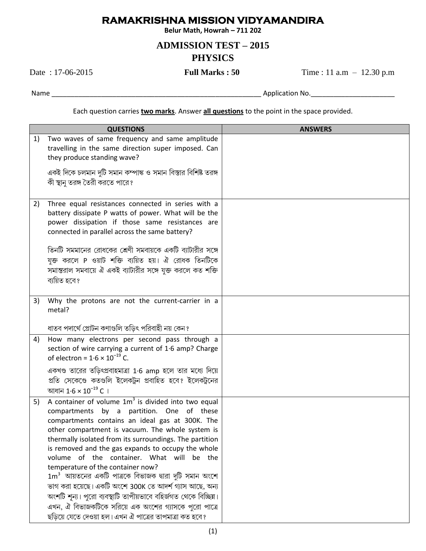## **RAMAKRISHNA MISSION VIDYAMANDIRA**

Belur Math, Howrah - 711 202

## **ADMISSION TEST - 2015 PHYSICS**

Date: 17-06-2015

**Full Marks: 50** 

Time:  $11$  a.m  $- 12.30$  p.m

Each question carries two marks. Answer all questions to the point in the space provided.

| <b>QUESTIONS</b> |                                                                                                                                                                                                                                                                                                                                                                                                                                                                                 | <b>ANSWERS</b> |
|------------------|---------------------------------------------------------------------------------------------------------------------------------------------------------------------------------------------------------------------------------------------------------------------------------------------------------------------------------------------------------------------------------------------------------------------------------------------------------------------------------|----------------|
| 1)               | Two waves of same frequency and same amplitude<br>travelling in the same direction super imposed. Can<br>they produce standing wave?                                                                                                                                                                                                                                                                                                                                            |                |
|                  | একই দিকে চলমান দুটি সমান কম্পাঙ্ক ও সমান বিস্তার বিশিষ্ট তরঙ্গ<br>কী স্থানু তরঙ্গ তৈরী করতে পারে?                                                                                                                                                                                                                                                                                                                                                                               |                |
| 2)               | Three equal resistances connected in series with a<br>battery dissipate P watts of power. What will be the<br>power dissipation if those same resistances are<br>connected in parallel across the same battery?                                                                                                                                                                                                                                                                 |                |
|                  | তিনটি সমমানের রোধকের শ্রেণী সমবায়কে একটি ব্যাটারীর সঙ্গে<br>যুক্ত করলে P ওয়াট শক্তি ব্যয়িত হয়। ঐ রোধক তিনটিকে<br>সমান্তরাল সমবায়ে ঐ একই ব্যাটারীর সঙ্গে যুক্ত করলে কত শক্তি<br>ব্যয়িত হবে?                                                                                                                                                                                                                                                                                |                |
| 3)               | Why the protons are not the current-carrier in a<br>metal?                                                                                                                                                                                                                                                                                                                                                                                                                      |                |
|                  | ধাতব পদার্থে প্রোটন কণাগুলি তড়িৎ পরিবাহী নয় কেন?                                                                                                                                                                                                                                                                                                                                                                                                                              |                |
| 4)               | How many electrons per second pass through a<br>section of wire carrying a current of 1.6 amp? Charge<br>of electron = $1.6 \times 10^{-19}$ C.                                                                                                                                                                                                                                                                                                                                 |                |
|                  | একখণ্ড তারের তড়িৎপ্রবাহমাত্রা 1·6 amp হলে তার মধ্যে দিয়ে<br>প্রতি সেকেণ্ডে কতগুলি ইলেকট্রন প্রবাহিত হবে? ইলেকট্রনের<br>আধান $1.6 \times 10^{-19}$ C ।                                                                                                                                                                                                                                                                                                                         |                |
| 5)               | A container of volume $1m3$ is divided into two equal<br>compartments by a partition. One of these<br>compartments contains an ideal gas at 300K. The<br>other compartment is vacuum. The whole system is<br>thermally isolated from its surroundings. The partition<br>is removed and the gas expands to occupy the whole<br>volume of the container. What will be the<br>temperature of the container now?<br>$1\text{m}^3$ আয়তনের একটি পাত্রকে বিভাজক দ্বারা দুটি সমান অংশে |                |
|                  | ভাগ করা হয়েছে। একটি অংশে 300K তে আদর্শ গ্যাস আছে, অন্য<br>অংশটি শূন্য। পুরো ব্যবস্থাটি তাপীয়ভাবে বহির্জগত থেকে বিচ্ছিন্ন।<br>এখন, ঐ বিভাজকটিকে সরিয়ে এক অংশের গ্যাসকে পুরো পাত্রে<br>ছড়িয়ে যেতে দেওয়া হল। এখন ঐ পাত্রের তাপমাত্রা কত হবে?                                                                                                                                                                                                                                 |                |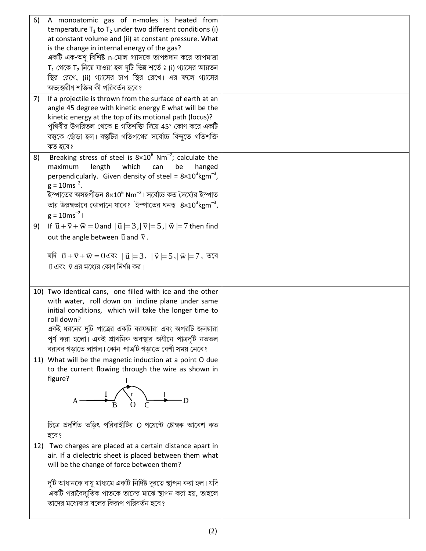| 6) | A monoatomic gas of n-moles is heated from                                                             |  |
|----|--------------------------------------------------------------------------------------------------------|--|
|    | temperature $T_1$ to $T_2$ under two different conditions (i)                                          |  |
|    | at constant volume and (ii) at constant pressure. What                                                 |  |
|    | is the change in internal energy of the gas?                                                           |  |
|    | একটি এক-অণু বিশিষ্ট n-মোল গ্যাসকে তাপপ্রদান করে তাপমাত্রা                                              |  |
|    | $T_1$ থেকে $T_2$ নিয়ে যাওয়া হল দুটি ভিন্ন শর্তে ঃ (i) গ্যাসের আয়তন                                  |  |
|    | স্থির রেখে, (ii) গ্যাসের চাপ স্থির রেখে। এর ফলে গ্যাসের                                                |  |
|    | অভ্যন্তরীণ শক্তির কী পরিবর্তন হবে?                                                                     |  |
| 7) | If a projectile is thrown from the surface of earth at an                                              |  |
|    | angle 45 degree with kinetic energy E what will be the                                                 |  |
|    | kinetic energy at the top of its motional path (locus)?                                                |  |
|    | পৃথিবীর উপরিতল থেকে E গতিশক্তি দিয়ে 45° কোণ করে একটি                                                  |  |
|    | বস্তুকে ছোঁড়া হল। বস্তুটির গতিপথের সর্বোচ্চ বিন্দুতে গতিশক্তি                                         |  |
|    | কত হবে?                                                                                                |  |
| 8) | Breaking stress of steel is $8\times10^6$ Nm <sup>-2</sup> ; calculate the                             |  |
|    | length<br>which<br>maximum<br>can<br>be<br>hanged                                                      |  |
|    | perpendicularly. Given density of steel = $8 \times 10^{3}$ kgm <sup>-3</sup> ,                        |  |
|    | $g = 10 \text{ms}^{-2}$ .                                                                              |  |
|    | ইস্পাতের অসহপীড়ন $8\times10^6$ Nm $^{-2}$ । সর্বোচ্চ কত দৈর্ঘ্যের ইস্পাত                              |  |
|    | তার উল্লম্বভাবে ঝোলানে যাবে? ইস্পাতের ঘনত্ব $8\times10^3$ kgm $^{-3}$ ,                                |  |
|    | $g = 10ms^{-2}$                                                                                        |  |
| 9) | If $\vec{u} + \vec{v} + \vec{w} = 0$ and $ \vec{u}  = 3$ , $ \vec{v}  = 5$ , $ \vec{w}  = 7$ then find |  |
|    | out the angle between $\vec{u}$ and $\vec{v}$ .                                                        |  |
|    |                                                                                                        |  |
|    | যদি $\vec{u} + \vec{v} + \vec{w} = 0$ এবং $ \vec{u}  = 3,  \vec{v}  = 5,  \vec{w}  = 7, \vec{w}$ বে    |  |
|    | $\vec{u}$ এবং $\vec{v}$ এর মধ্যের কোণ নির্ণয় কর।                                                      |  |
|    |                                                                                                        |  |
|    | 10) Two identical cans, one filled with ice and the other                                              |  |
|    | with water, roll down on incline plane under same                                                      |  |
|    | initial conditions, which will take the longer time to                                                 |  |
|    | roll down?                                                                                             |  |
|    | একই ধরনের দুটি পাত্রের একটি বরফদ্বারা এবং অপরটি জলদ্বারা                                               |  |
|    | পূর্ণ করা হলো। একই প্রাথমিক অবস্থার অধীনে পাত্রদুটি নততল                                               |  |
|    | বরাবর গড়াতে লাগল। কোন  পাত্রটি গড়াতে বেশী সময় নেবে?                                                 |  |
|    | 11) What will be the magnetic induction at a point O due                                               |  |
|    | to the current flowing through the wire as shown in                                                    |  |
|    | figure?                                                                                                |  |
|    |                                                                                                        |  |
|    |                                                                                                        |  |
|    |                                                                                                        |  |
|    |                                                                                                        |  |
|    | চিত্রে প্রদর্শিত তড়িৎ পরিবাহীটির O পয়েন্টে চৌম্বক আবেশ কত                                            |  |
|    | হবে?                                                                                                   |  |
|    | 12) Two charges are placed at a certain distance apart in                                              |  |
|    | air. If a dielectric sheet is placed between them what                                                 |  |
|    | will be the change of force between them?                                                              |  |
|    | দুটি আধানকে বায়ু মাধ্যমে একটি নির্দিষ্ট দূরত্বে স্থাপন করা হল। যদি                                    |  |
|    | একটি পরাবৈদ্যুতিক পাতকে তাদের মাঝে স্থাপন করা হয়, তাহলে                                               |  |
|    | তাদের মধ্যেকার বলের কিরূপ পরিবর্তন হবে?                                                                |  |
|    |                                                                                                        |  |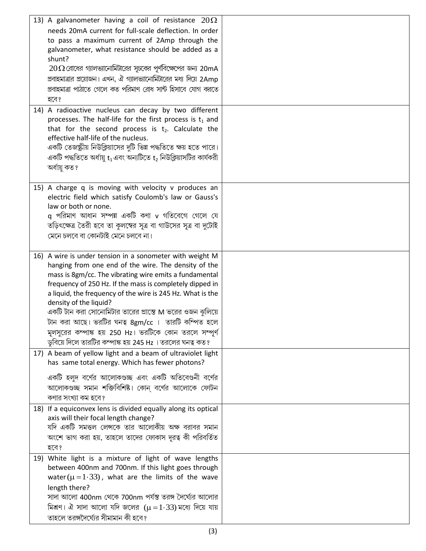| 13) A galvanometer having a coil of resistance $20\Omega$               |  |
|-------------------------------------------------------------------------|--|
| needs 20mA current for full-scale deflection. In order                  |  |
| to pass a maximum current of 2Amp through the                           |  |
| galvanometer, what resistance should be added as a                      |  |
| shunt?                                                                  |  |
| $20\Omega$ রোধের গ্যালভ্যানোমিটারের সূচকের পূর্ণবিক্ষেপের জন্য 20mA     |  |
| প্রবাহমাত্রার প্রয়োজন। এখন, ঐ গ্যালভ্যানোমিটারের মধ্য দিয়ে 2Amp       |  |
| প্রবাহমাত্রা পাঠাতে গেলে কত পরিমাণ রোধ সান্ট হিসাবে যোগ করতে            |  |
|                                                                         |  |
| হবে?                                                                    |  |
| 14) A radioactive nucleus can decay by two different                    |  |
| processes. The half-life for the first process is $t_1$ and             |  |
| that for the second process is $t_2$ . Calculate the                    |  |
| effective half-life of the nucleus.                                     |  |
| একটি তেজস্ক্রীয় নিউক্লিয়াসের দুটি ভিন্ন পদ্ধতিতে ক্ষয় হতে পারে।      |  |
| একটি পদ্ধতিতে অর্ধায়ু $t_1$ এবং অন্যটিতে $t_2$ নিউক্লিয়াসটির কার্যকরী |  |
| অৰ্ধায়ু কত ?                                                           |  |
|                                                                         |  |
| 15) A charge q is moving with velocity v produces an                    |  |
| electric field which satisfy Coulomb's law or Gauss's                   |  |
| law or both or none.                                                    |  |
| q পরিমাণ আধান সম্পন্ন একটি কণা v গতিবেগে গেলে যে                        |  |
| তড়িৎক্ষেত্র তৈরী হবে তা কুলম্বের সূত্র বা গাউসের সূত্র বা দুটোই        |  |
| মেনে চলবে বা কোনটাই মেনে চলবে না।                                       |  |
|                                                                         |  |
| 16) A wire is under tension in a sonometer with weight M                |  |
| hanging from one end of the wire. The density of the                    |  |
| mass is 8gm/cc. The vibrating wire emits a fundamental                  |  |
| frequency of 250 Hz. If the mass is completely dipped in                |  |
| a liquid, the frequency of the wire is 245 Hz. What is the              |  |
| density of the liquid?                                                  |  |
| একটি টান করা সোনোমিটার তারের প্রান্তে M ভরের ওজন ঝুলিয়ে                |  |
| টান করা আছে। ভরটির ঘনত্ব 8gm/cc । তারটি কম্পিত হলে                      |  |
| মূলসুরের কম্পাঙ্ক হয় 250 Hz। ভরটিকে কোন তরলে সম্পূর্ণ                  |  |
| ডুবিয়ে দিলে তারটির কম্পাঙ্ক হয় 245 Hz । তরলের ঘনত্ব কত?               |  |
| 17) A beam of yellow light and a beam of ultraviolet light              |  |
| has same total energy. Which has fewer photons?                         |  |
| একটি হলুদ বর্ণের আলোকগুচ্ছ এবং একটি অতিবেগুনী বর্ণের                    |  |
| আলোকগুচ্ছ সমান শক্তিবিশিষ্ট। কোন বর্ণের আলোকে ফোটন                      |  |
| কণার সংখ্যা কম হবে?                                                     |  |
| 18) If a equiconvex lens is divided equally along its optical           |  |
| axis will their focal length change?                                    |  |
| যদি একটি সমত্তল লেন্সকে তার আলোকীয় অক্ষ বরাবর সমান                     |  |
| অংশে ভাগ করা হয়, তাহলে তাদের ফোকাস দূরত্ব কী পরিবর্তিত                 |  |
|                                                                         |  |
| হবে?                                                                    |  |
| 19) White light is a mixture of light of wave lengths                   |  |
| between 400nm and 700nm. If this light goes through                     |  |
| water ( $\mu$ = 1.33), what are the limits of the wave                  |  |
| length there?                                                           |  |
| সাদা আলো 400nm থেকে 700nm পর্যন্ত তরঙ্গ দৈর্ঘ্যের আলোর                  |  |
| মিশ্রণ। ঐ সাদা আলো যদি জলের $(\mu = 1.33)$ মধ্যে দিয়ে যায়             |  |
| তাহলে তরঙ্গদৈর্ঘ্যের সীমামান কী হবে?                                    |  |